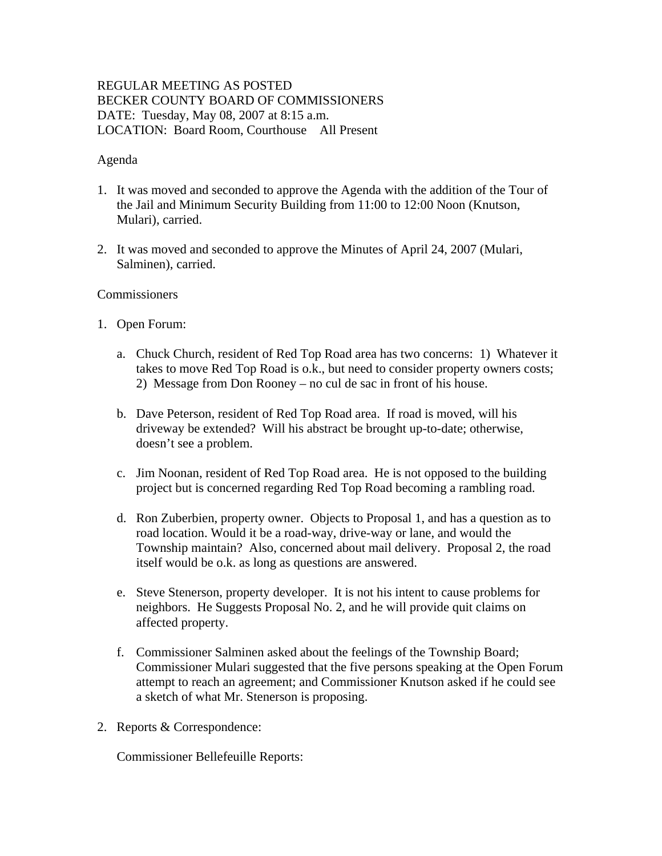# REGULAR MEETING AS POSTED BECKER COUNTY BOARD OF COMMISSIONERS DATE: Tuesday, May 08, 2007 at 8:15 a.m. LOCATION: Board Room, Courthouse All Present

# Agenda

- 1. It was moved and seconded to approve the Agenda with the addition of the Tour of the Jail and Minimum Security Building from 11:00 to 12:00 Noon (Knutson, Mulari), carried.
- 2. It was moved and seconded to approve the Minutes of April 24, 2007 (Mulari, Salminen), carried.

# Commissioners

- 1. Open Forum:
	- a. Chuck Church, resident of Red Top Road area has two concerns: 1) Whatever it takes to move Red Top Road is o.k., but need to consider property owners costs; 2) Message from Don Rooney – no cul de sac in front of his house.
	- b. Dave Peterson, resident of Red Top Road area. If road is moved, will his driveway be extended? Will his abstract be brought up-to-date; otherwise, doesn't see a problem.
	- c. Jim Noonan, resident of Red Top Road area. He is not opposed to the building project but is concerned regarding Red Top Road becoming a rambling road.
	- d. Ron Zuberbien, property owner. Objects to Proposal 1, and has a question as to road location. Would it be a road-way, drive-way or lane, and would the Township maintain? Also, concerned about mail delivery. Proposal 2, the road itself would be o.k. as long as questions are answered.
	- e. Steve Stenerson, property developer. It is not his intent to cause problems for neighbors. He Suggests Proposal No. 2, and he will provide quit claims on affected property.
	- f. Commissioner Salminen asked about the feelings of the Township Board; Commissioner Mulari suggested that the five persons speaking at the Open Forum attempt to reach an agreement; and Commissioner Knutson asked if he could see a sketch of what Mr. Stenerson is proposing.
- 2. Reports & Correspondence:

Commissioner Bellefeuille Reports: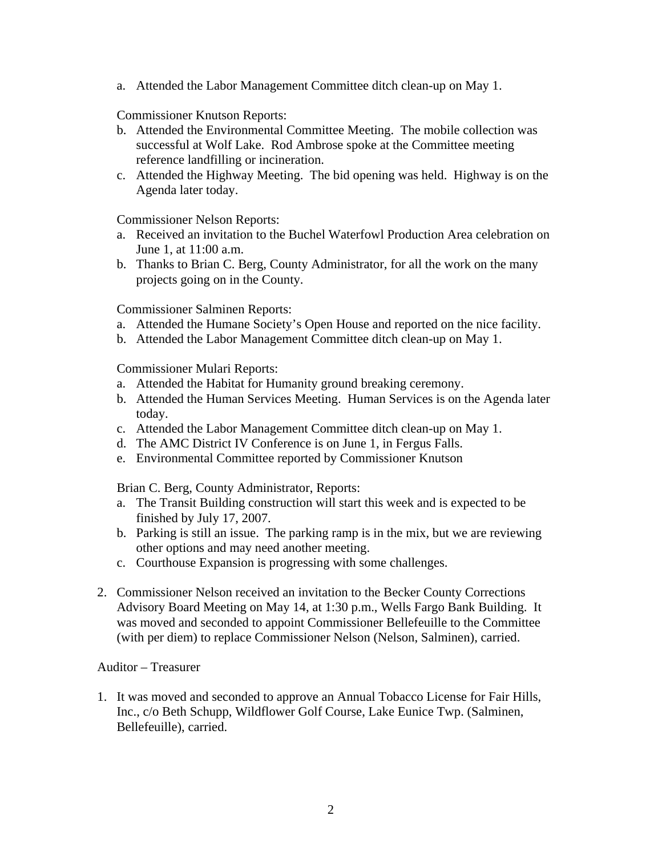a. Attended the Labor Management Committee ditch clean-up on May 1.

Commissioner Knutson Reports:

- b. Attended the Environmental Committee Meeting. The mobile collection was successful at Wolf Lake. Rod Ambrose spoke at the Committee meeting reference landfilling or incineration.
- c. Attended the Highway Meeting. The bid opening was held. Highway is on the Agenda later today.

Commissioner Nelson Reports:

- a. Received an invitation to the Buchel Waterfowl Production Area celebration on June 1, at 11:00 a.m.
- b. Thanks to Brian C. Berg, County Administrator, for all the work on the many projects going on in the County.

Commissioner Salminen Reports:

- a. Attended the Humane Society's Open House and reported on the nice facility.
- b. Attended the Labor Management Committee ditch clean-up on May 1.

Commissioner Mulari Reports:

- a. Attended the Habitat for Humanity ground breaking ceremony.
- b. Attended the Human Services Meeting. Human Services is on the Agenda later today.
- c. Attended the Labor Management Committee ditch clean-up on May 1.
- d. The AMC District IV Conference is on June 1, in Fergus Falls.
- e. Environmental Committee reported by Commissioner Knutson

Brian C. Berg, County Administrator, Reports:

- a. The Transit Building construction will start this week and is expected to be finished by July 17, 2007.
- b. Parking is still an issue. The parking ramp is in the mix, but we are reviewing other options and may need another meeting.
- c. Courthouse Expansion is progressing with some challenges.
- 2. Commissioner Nelson received an invitation to the Becker County Corrections Advisory Board Meeting on May 14, at 1:30 p.m., Wells Fargo Bank Building. It was moved and seconded to appoint Commissioner Bellefeuille to the Committee (with per diem) to replace Commissioner Nelson (Nelson, Salminen), carried.

### Auditor – Treasurer

1. It was moved and seconded to approve an Annual Tobacco License for Fair Hills, Inc., c/o Beth Schupp, Wildflower Golf Course, Lake Eunice Twp. (Salminen, Bellefeuille), carried.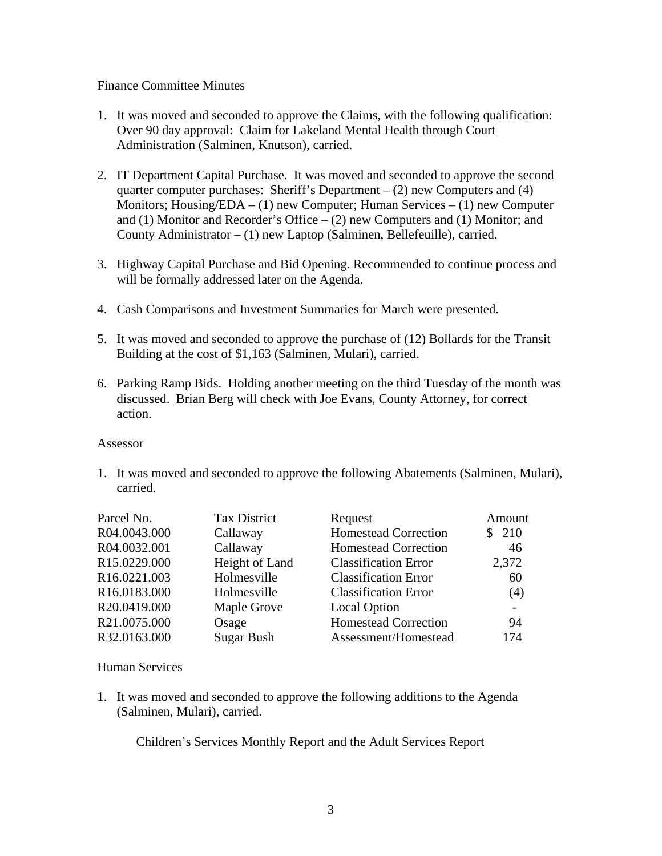### Finance Committee Minutes

- 1. It was moved and seconded to approve the Claims, with the following qualification: Over 90 day approval: Claim for Lakeland Mental Health through Court Administration (Salminen, Knutson), carried.
- 2. IT Department Capital Purchase. It was moved and seconded to approve the second quarter computer purchases: Sheriff's Department  $- (2)$  new Computers and (4) Monitors;  $H \text{ousing/EDA} - (1)$  new Computer;  $H \text{uman Services} - (1)$  new Computer and (1) Monitor and Recorder's Office  $-$  (2) new Computers and (1) Monitor; and County Administrator – (1) new Laptop (Salminen, Bellefeuille), carried.
- 3. Highway Capital Purchase and Bid Opening. Recommended to continue process and will be formally addressed later on the Agenda.
- 4. Cash Comparisons and Investment Summaries for March were presented.
- 5. It was moved and seconded to approve the purchase of (12) Bollards for the Transit Building at the cost of \$1,163 (Salminen, Mulari), carried.
- 6. Parking Ramp Bids. Holding another meeting on the third Tuesday of the month was discussed. Brian Berg will check with Joe Evans, County Attorney, for correct action.

#### Assessor

1. It was moved and seconded to approve the following Abatements (Salminen, Mulari), carried.

| Parcel No.   | <b>Tax District</b> | Request                     | Amount |
|--------------|---------------------|-----------------------------|--------|
| R04.0043.000 | Callaway            | <b>Homestead Correction</b> | \$210  |
| R04.0032.001 | Callaway            | Homestead Correction        | 46     |
| R15.0229.000 | Height of Land      | <b>Classification Error</b> | 2,372  |
| R16.0221.003 | Holmesville         | <b>Classification Error</b> | 60     |
| R16.0183.000 | Holmesville         | <b>Classification Error</b> | (4)    |
| R20.0419.000 | Maple Grove         | <b>Local Option</b>         |        |
| R21.0075.000 | Osage               | <b>Homestead Correction</b> | 94     |
| R32.0163.000 | Sugar Bush          | Assessment/Homestead        | 174    |

# Human Services

1. It was moved and seconded to approve the following additions to the Agenda (Salminen, Mulari), carried.

Children's Services Monthly Report and the Adult Services Report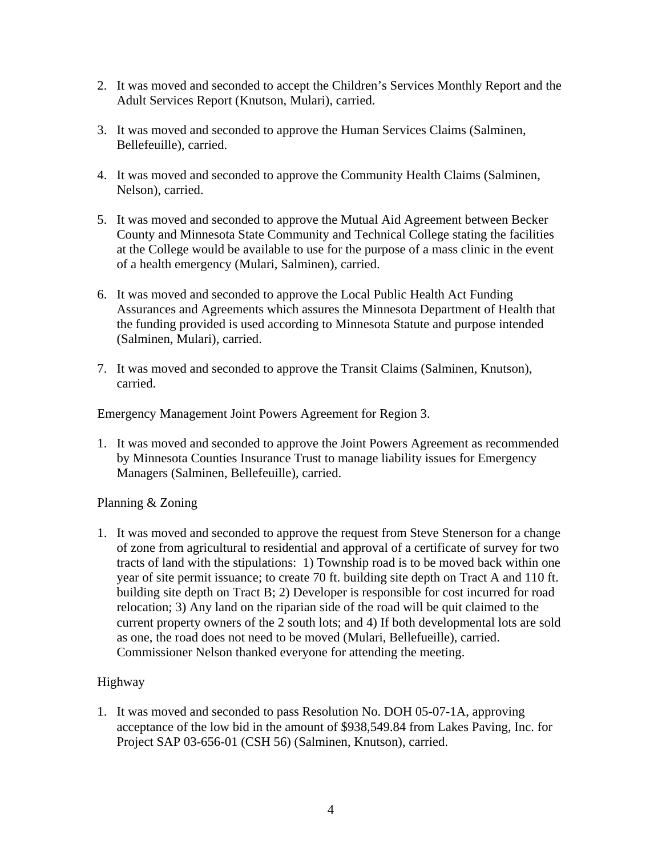- 2. It was moved and seconded to accept the Children's Services Monthly Report and the Adult Services Report (Knutson, Mulari), carried.
- 3. It was moved and seconded to approve the Human Services Claims (Salminen, Bellefeuille), carried.
- 4. It was moved and seconded to approve the Community Health Claims (Salminen, Nelson), carried.
- 5. It was moved and seconded to approve the Mutual Aid Agreement between Becker County and Minnesota State Community and Technical College stating the facilities at the College would be available to use for the purpose of a mass clinic in the event of a health emergency (Mulari, Salminen), carried.
- 6. It was moved and seconded to approve the Local Public Health Act Funding Assurances and Agreements which assures the Minnesota Department of Health that the funding provided is used according to Minnesota Statute and purpose intended (Salminen, Mulari), carried.
- 7. It was moved and seconded to approve the Transit Claims (Salminen, Knutson), carried.

Emergency Management Joint Powers Agreement for Region 3.

1. It was moved and seconded to approve the Joint Powers Agreement as recommended by Minnesota Counties Insurance Trust to manage liability issues for Emergency Managers (Salminen, Bellefeuille), carried.

# Planning & Zoning

1. It was moved and seconded to approve the request from Steve Stenerson for a change of zone from agricultural to residential and approval of a certificate of survey for two tracts of land with the stipulations: 1) Township road is to be moved back within one year of site permit issuance; to create 70 ft. building site depth on Tract A and 110 ft. building site depth on Tract B; 2) Developer is responsible for cost incurred for road relocation; 3) Any land on the riparian side of the road will be quit claimed to the current property owners of the 2 south lots; and 4) If both developmental lots are sold as one, the road does not need to be moved (Mulari, Bellefueille), carried. Commissioner Nelson thanked everyone for attending the meeting.

# Highway

1. It was moved and seconded to pass Resolution No. DOH 05-07-1A, approving acceptance of the low bid in the amount of \$938,549.84 from Lakes Paving, Inc. for Project SAP 03-656-01 (CSH 56) (Salminen, Knutson), carried.